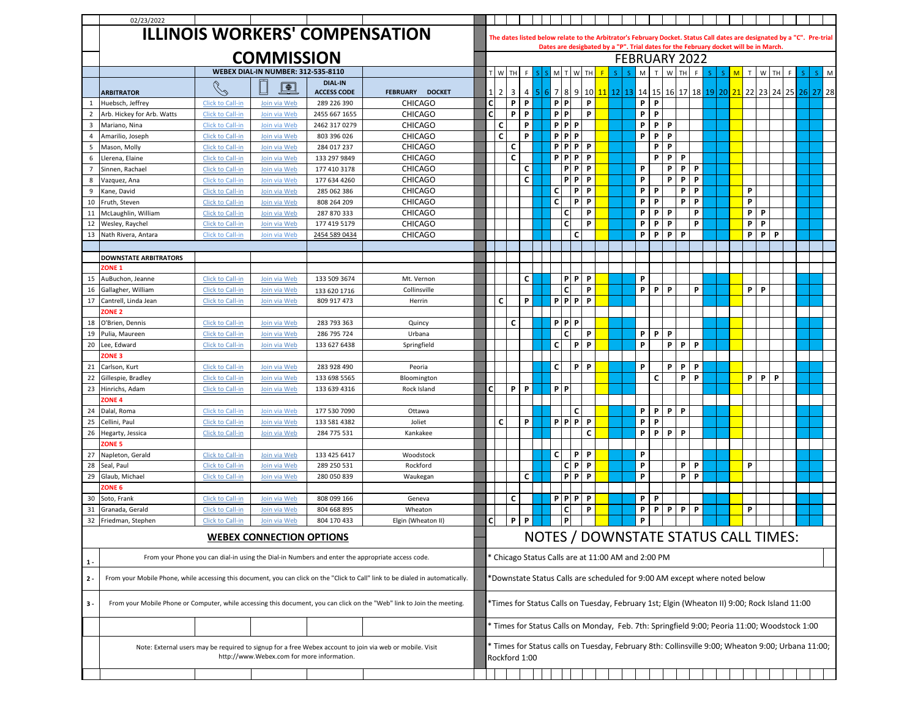|                | 02/23/2022                                                                                                                                             |                                      |                              |                            |                                  |              |                     |                                                                            |          |                  |                |   |        |                      |             |        |         |   |   |                                                                                                                         |    |          |   |  |  |  |
|----------------|--------------------------------------------------------------------------------------------------------------------------------------------------------|--------------------------------------|------------------------------|----------------------------|----------------------------------|--------------|---------------------|----------------------------------------------------------------------------|----------|------------------|----------------|---|--------|----------------------|-------------|--------|---------|---|---|-------------------------------------------------------------------------------------------------------------------------|----|----------|---|--|--|--|
|                |                                                                                                                                                        |                                      |                              |                            |                                  |              |                     |                                                                            |          |                  |                |   |        |                      |             |        |         |   |   |                                                                                                                         |    |          |   |  |  |  |
|                | <b>ILLINOIS WORKERS' COMPENSATION</b>                                                                                                                  |                                      |                              |                            |                                  |              |                     |                                                                            |          |                  |                |   |        |                      |             |        |         |   |   | The dates listed below relate to the Arbitrator's February Docket. Status Call dates are designated by a "C". Pre-trial |    |          |   |  |  |  |
|                |                                                                                                                                                        |                                      |                              |                            |                                  |              |                     |                                                                            |          |                  |                |   |        |                      |             |        |         |   |   | Dates are desigbated by a "P". Trial dates for the February docket will be in March.                                    |    |          |   |  |  |  |
|                | <b>COMMISSION</b>                                                                                                                                      |                                      |                              |                            |                                  |              |                     |                                                                            |          |                  |                |   |        | <b>FEBRUARY 2022</b> |             |        |         |   |   |                                                                                                                         |    |          |   |  |  |  |
|                |                                                                                                                                                        |                                      |                              | T W TH                     |                                  |              | M                   | W                                                                          | TH       | $\mathsf F$<br>S | S.             | M | T<br>W | TH                   | $\mathsf F$ | Š      | M<br>S. | T | W | TH                                                                                                                      | F. | S.<br>S. | M |  |  |  |
|                |                                                                                                                                                        |                                      |                              | <b>DIAL-IN</b>             |                                  |              |                     |                                                                            |          |                  |                |   |        |                      |             |        |         |   |   |                                                                                                                         |    |          |   |  |  |  |
|                | <b>ARBITRATOR</b>                                                                                                                                      | Ro                                   | $\boxed{\oplus}$             | <b>ACCESS CODE</b>         | <b>FEBRUARY</b><br><b>DOCKET</b> | 11           | 3<br>$\overline{2}$ | 4                                                                          | 5.<br>61 |                  |                |   |        |                      |             |        |         |   |   | 7 8 9 10 11 12 13 14 15 16 17 18 19 20 21 22 23 24 25 26 27 28                                                          |    |          |   |  |  |  |
| -1             | Huebsch, Jeffrey                                                                                                                                       | Click to Call-in                     | Join via Web                 | 289 226 390                | <b>CHICAGO</b>                   | cl           | P                   | P                                                                          |          | P                | P              | P |        |                      | P<br>P      |        |         |   |   |                                                                                                                         |    |          |   |  |  |  |
| $\overline{2}$ | Arb. Hickey for Arb. Watts                                                                                                                             | Click to Call-in                     | Join via Web                 | 2455 667 1655              | <b>CHICAGO</b>                   | cl           | P                   | P                                                                          |          | $P$   $P$        |                | P |        |                      | P<br>P      |        |         |   |   |                                                                                                                         |    |          |   |  |  |  |
| $\mathbf{3}$   | Mariano, Nina                                                                                                                                          | Click to Call-in                     | Join via Web                 | 2462 317 0279              | <b>CHICAGO</b>                   |              | c                   | P                                                                          |          |                  | PPP            |   |        |                      | P           | P<br>P |         |   |   |                                                                                                                         |    |          |   |  |  |  |
| $\overline{4}$ | Amarilio, Joseph                                                                                                                                       | Click to Call-in                     | Join via Web                 | 803 396 026                | <b>CHICAGO</b>                   |              | C                   | P                                                                          |          |                  | PPP            |   |        |                      | P<br>P      | P      |         |   |   |                                                                                                                         |    |          |   |  |  |  |
| 5              | Mason, Molly                                                                                                                                           | Click to Call-in                     | Join via Web                 | 284 017 237                | <b>CHICAGO</b>                   |              | c                   |                                                                            |          |                  | $P$ $P$ $P$    | P |        |                      |             | P<br>P |         |   |   |                                                                                                                         |    |          |   |  |  |  |
| 6              | Llerena, Elaine                                                                                                                                        | Click to Call-in                     | Join via Web                 | 133 297 9849               | <b>CHICAGO</b>                   |              | $\mathbf c$         |                                                                            |          |                  | <b>PPP</b>     | P |        |                      | P           | P      | P       |   |   |                                                                                                                         |    |          |   |  |  |  |
| $\overline{7}$ | Sinnen, Rachael                                                                                                                                        | Click to Call-in                     | Join via Web                 | 177 410 3178               | <b>CHICAGO</b>                   |              |                     | c                                                                          |          |                  | Ρl<br>P        | P |        |                      | P           | P      | P       | P |   |                                                                                                                         |    |          |   |  |  |  |
| 8              | Vazquez, Ana                                                                                                                                           | Click to Call-in                     | Join via Web                 | 177 634 4260               | <b>CHICAGO</b>                   |              |                     | C                                                                          |          |                  | $P$ $P$        | P |        |                      | P           | P      | P       | P |   |                                                                                                                         |    |          |   |  |  |  |
| 9              | Kane, David                                                                                                                                            | Click to Call-in                     | Join via Web                 | 285 062 386                | <b>CHICAGO</b>                   |              |                     |                                                                            |          | C                | P              | P |        |                      | P<br>P      |        | P       | P |   |                                                                                                                         | P  |          |   |  |  |  |
| 10             | Fruth, Steven                                                                                                                                          | Click to Call-in                     | Join via Web                 | 808 264 209                | <b>CHICAGO</b>                   |              |                     |                                                                            |          | C                | P              | P |        |                      | P<br>P      |        | P       | P |   |                                                                                                                         | P  |          |   |  |  |  |
| 11             | McLaughlin, William                                                                                                                                    | Click to Call-in                     | Join via Web                 | 287 870 333                | <b>CHICAGO</b>                   |              |                     |                                                                            |          |                  | <b>C</b>       | P |        |                      | P<br>P      | P      |         | P |   |                                                                                                                         | P  | P        |   |  |  |  |
| 12             | Wesley, Raychel                                                                                                                                        | Click to Call-in                     | Join via Web                 | 177 419 5179               | <b>CHICAGO</b>                   |              |                     |                                                                            |          |                  | C              | P |        |                      | P<br>P      | P      |         | P |   |                                                                                                                         | P  | P        |   |  |  |  |
| 13             | Nath Rivera, Antara                                                                                                                                    | <b>Click to Call-in</b>              | Join via Web                 | 2454 589 0434              | <b>CHICAGO</b>                   |              |                     |                                                                            |          |                  | C              |   |        |                      | P<br>P      | P      | P       |   |   |                                                                                                                         | P  | P        | P |  |  |  |
|                |                                                                                                                                                        |                                      |                              |                            |                                  |              |                     |                                                                            |          |                  |                |   |        |                      |             |        |         |   |   |                                                                                                                         |    |          |   |  |  |  |
|                | <b>DOWNSTATE ARBITRATORS</b>                                                                                                                           |                                      |                              |                            |                                  |              |                     |                                                                            |          |                  |                |   |        |                      |             |        |         |   |   |                                                                                                                         |    |          |   |  |  |  |
|                | ZONE <sub>1</sub>                                                                                                                                      |                                      |                              |                            |                                  |              |                     |                                                                            |          |                  |                |   |        |                      |             |        |         |   |   |                                                                                                                         |    |          |   |  |  |  |
| 15             | AuBuchon, Jeanne                                                                                                                                       | Click to Call-in                     | Join via Web                 | 133 509 3674               | Mt. Vernon                       |              |                     | C                                                                          |          |                  | $P$ $P$        | P |        |                      | P           |        |         |   |   |                                                                                                                         |    |          |   |  |  |  |
| 16             | Gallagher, William                                                                                                                                     | Click to Call-in                     | Join via Web                 | 133 620 1716               | Collinsville                     |              |                     |                                                                            |          |                  | <b>C</b>       | P |        |                      | P           | P<br>P |         | P |   |                                                                                                                         | P  | <b>P</b> |   |  |  |  |
| 17             | Cantrell, Linda Jean                                                                                                                                   | Click to Call-in                     | Join via Web                 | 809 917 473                | Herrin                           |              | C                   | P                                                                          |          |                  | $P$ $P$ $P$    | P |        |                      |             |        |         |   |   |                                                                                                                         |    |          |   |  |  |  |
|                | ZONE <sub>2</sub>                                                                                                                                      |                                      |                              |                            |                                  |              |                     |                                                                            |          |                  |                |   |        |                      |             |        |         |   |   |                                                                                                                         |    |          |   |  |  |  |
| 18             | O'Brien, Dennis                                                                                                                                        | Click to Call-in                     | Join via Web                 | 283 793 363                | Quincy                           |              | C                   |                                                                            |          |                  | PPP            |   |        |                      |             |        |         |   |   |                                                                                                                         |    |          |   |  |  |  |
| 19             | Pulia. Maureen                                                                                                                                         | Click to Call-in                     | Join via Web                 | 286 795 724                | Urbana                           |              |                     |                                                                            |          |                  |                | P |        |                      | P<br>P      | P      |         |   |   |                                                                                                                         |    |          |   |  |  |  |
| 20             | Lee, Edward                                                                                                                                            | <b>Click to Call-in</b>              | Join via Web                 | 133 627 6438               | Springfield                      |              |                     |                                                                            |          | C                | P              | P |        |                      | P           | P      | P       | P |   |                                                                                                                         |    |          |   |  |  |  |
|                | ZONE <sub>3</sub>                                                                                                                                      |                                      |                              |                            |                                  |              |                     |                                                                            |          |                  |                |   |        |                      |             |        |         |   |   |                                                                                                                         |    |          |   |  |  |  |
| 21             | Carlson, Kurt                                                                                                                                          | Click to Call-in                     | Join via Web                 | 283 928 490                | Peoria                           |              |                     |                                                                            |          | C I              | P              | P |        |                      | P           | P      | P       | P |   |                                                                                                                         |    |          |   |  |  |  |
| 22             | Gillespie, Bradley                                                                                                                                     | Click to Call-in                     | Join via Web                 | 133 698 5565               | Bloomington                      |              |                     |                                                                            |          |                  |                |   |        |                      | c           |        | P       | P |   |                                                                                                                         | P  | P        | P |  |  |  |
| 23             | Hinrichs, Adam                                                                                                                                         | Click to Call-in                     | Join via Web                 | 133 639 4316               | Rock Island                      | cl           | P                   | $\mathsf{P}$                                                               |          | PP               |                |   |        |                      |             |        |         |   |   |                                                                                                                         |    |          |   |  |  |  |
|                | ZONE <sub>4</sub>                                                                                                                                      |                                      |                              |                            |                                  |              |                     |                                                                            |          |                  |                |   |        |                      |             |        |         |   |   |                                                                                                                         |    |          |   |  |  |  |
| 24             | Dalal, Roma                                                                                                                                            | <b>Click to Call-in</b>              | Join via Web                 | 177 530 7090               | Ottawa                           |              |                     |                                                                            |          |                  | C              |   |        |                      | P<br>P      | P      | P       |   |   |                                                                                                                         |    |          |   |  |  |  |
| 25             | Cellini, Paul                                                                                                                                          | Click to Call-in                     | <u>Join via Web</u>          | 133 581 4382               | Joliet                           |              | C                   | P                                                                          |          |                  | $P$ $P$ $P$    | P |        |                      | P<br>P      |        |         |   |   |                                                                                                                         |    |          |   |  |  |  |
| 26             | Hegarty, Jessica                                                                                                                                       | Click to Call-in                     | Join via Web                 | 284 775 531                | Kankakee                         |              |                     |                                                                            |          |                  |                | C |        |                      | P           | P<br>P | P       |   |   |                                                                                                                         |    |          |   |  |  |  |
|                | <b>ZONE 5</b>                                                                                                                                          |                                      |                              | 133 425 6417               | Woodstock                        |              |                     |                                                                            |          |                  | P              | P |        |                      | P           |        |         |   |   |                                                                                                                         |    |          |   |  |  |  |
| 27             | Napleton, Gerald                                                                                                                                       | Click to Call-in                     | Join via Web                 |                            |                                  |              |                     |                                                                            |          | $\mathsf{C}$     | CIP.           | P |        |                      | P           |        |         | P |   |                                                                                                                         | P  |          |   |  |  |  |
| 28<br>29       | Seal, Paul<br>Glaub, Michael                                                                                                                           | Click to Call-in<br>Click to Call-in | Join via Web<br>Join via Web | 289 250 531<br>280 050 839 | Rockford<br>Waukegan             |              |                     | c                                                                          |          |                  | P <sub>P</sub> | P |        |                      | P           |        | P<br>P  | P |   |                                                                                                                         |    |          |   |  |  |  |
|                | <b>ZONE 6</b>                                                                                                                                          |                                      |                              |                            |                                  |              |                     |                                                                            |          |                  |                |   |        |                      |             |        |         |   |   |                                                                                                                         |    |          |   |  |  |  |
| 30             | Soto, Frank                                                                                                                                            | Click to Call-in                     | Join via Web                 | 808 099 166                | Geneva                           |              | c                   |                                                                            |          |                  | $P$ $P$ $P$    | P |        |                      | P<br>P      |        |         |   |   |                                                                                                                         |    |          |   |  |  |  |
| 31             | Granada, Gerald                                                                                                                                        | Click to Call-in                     | Join via Web                 | 804 668 895                | Wheaton                          |              |                     |                                                                            |          |                  |                | P |        |                      | P<br>P      | P      | P       | P |   |                                                                                                                         | P  |          |   |  |  |  |
| 32             | Friedman, Stephen                                                                                                                                      | Click to Call-in                     | Join via Web                 | 804 170 433                | Elgin (Wheaton II)               | $\mathbf{C}$ | P                   | P                                                                          |          |                  | рI             |   |        |                      | P           |        |         |   |   |                                                                                                                         |    |          |   |  |  |  |
|                |                                                                                                                                                        |                                      |                              |                            |                                  |              |                     |                                                                            |          |                  |                |   |        |                      |             |        |         |   |   |                                                                                                                         |    |          |   |  |  |  |
|                | <b>WEBEX CONNECTION OPTIONS</b>                                                                                                                        |                                      |                              |                            |                                  |              |                     |                                                                            |          |                  |                |   |        |                      |             |        |         |   |   | NOTES / DOWNSTATE STATUS CALL TIMES:                                                                                    |    |          |   |  |  |  |
| $1 -$          | From your Phone you can dial-in using the Dial-in Numbers and enter the appropriate access code.                                                       |                                      |                              |                            |                                  |              |                     | Chicago Status Calls are at 11:00 AM and 2:00 PM                           |          |                  |                |   |        |                      |             |        |         |   |   |                                                                                                                         |    |          |   |  |  |  |
| $2 -$          | From your Mobile Phone, while accessing this document, you can click on the "Click to Call" link to be dialed in automatically.                        |                                      |                              |                            |                                  |              |                     | *Downstate Status Calls are scheduled for 9:00 AM except where noted below |          |                  |                |   |        |                      |             |        |         |   |   |                                                                                                                         |    |          |   |  |  |  |
| $3 -$          | From your Mobile Phone or Computer, while accessing this document, you can click on the "Web" link to Join the meeting.                                |                                      |                              |                            |                                  |              |                     |                                                                            |          |                  |                |   |        |                      |             |        |         |   |   | Times for Status Calls on Tuesday, February 1st; Elgin (Wheaton II) 9:00; Rock Island 11:00                             |    |          |   |  |  |  |
|                |                                                                                                                                                        |                                      |                              |                            |                                  |              |                     |                                                                            |          |                  |                |   |        |                      |             |        |         |   |   | Times for Status Calls on Monday, Feb. 7th: Springfield 9:00; Peoria 11:00; Woodstock 1:00                              |    |          |   |  |  |  |
|                | Note: External users may be required to signup for a free Webex account to join via web or mobile. Visit<br>http://www.Webex.com for more information. |                                      |                              |                            |                                  |              |                     | Rockford 1:00                                                              |          |                  |                |   |        |                      |             |        |         |   |   | Times for Status calls on Tuesday, February 8th: Collinsville 9:00; Wheaton 9:00; Urbana 11:00;                         |    |          |   |  |  |  |
|                |                                                                                                                                                        |                                      |                              |                            |                                  |              |                     |                                                                            |          |                  |                |   |        |                      |             |        |         |   |   |                                                                                                                         |    |          |   |  |  |  |